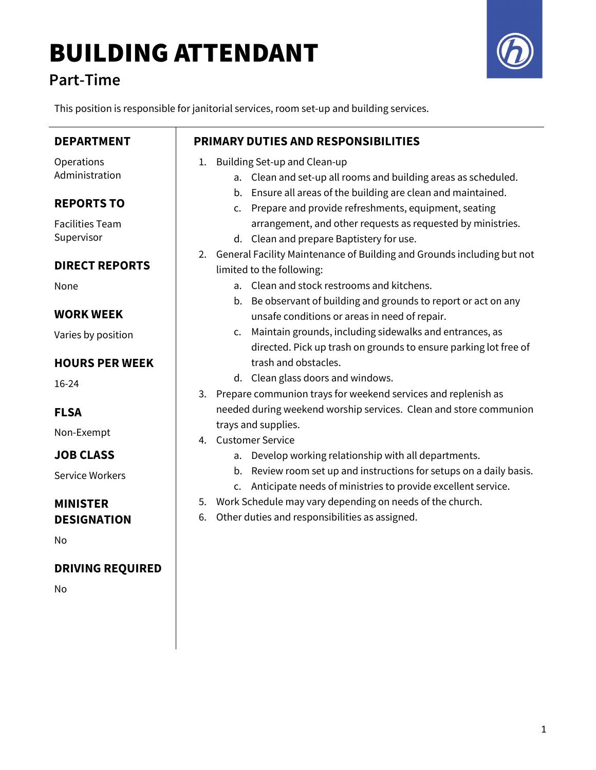# BUILDING ATTENDANT

### Part-Time

This position is responsible for janitorial services, room set-up and building services.

| <b>DEPARTMENT</b>       | <b>PRIMARY DUTIES AND RESPONSIBILITIES</b>                                   |
|-------------------------|------------------------------------------------------------------------------|
| Operations              | 1. Building Set-up and Clean-up                                              |
| Administration          | a. Clean and set-up all rooms and building areas as scheduled.               |
|                         | b. Ensure all areas of the building are clean and maintained.                |
| <b>REPORTS TO</b>       | c. Prepare and provide refreshments, equipment, seating                      |
| <b>Facilities Team</b>  | arrangement, and other requests as requested by ministries.                  |
| Supervisor              | d. Clean and prepare Baptistery for use.                                     |
|                         | General Facility Maintenance of Building and Grounds including but not<br>2. |
| <b>DIRECT REPORTS</b>   | limited to the following:                                                    |
| None                    | a. Clean and stock restrooms and kitchens.                                   |
|                         | b. Be observant of building and grounds to report or act on any              |
| <b>WORK WEEK</b>        | unsafe conditions or areas in need of repair.                                |
|                         | Maintain grounds, including sidewalks and entrances, as<br>$\mathsf{C}$ .    |
| Varies by position      | directed. Pick up trash on grounds to ensure parking lot free of             |
| <b>HOURS PER WEEK</b>   | trash and obstacles.                                                         |
|                         | d. Clean glass doors and windows.                                            |
| 16-24                   |                                                                              |
|                         | 3. Prepare communion trays for weekend services and replenish as             |
| <b>FLSA</b>             | needed during weekend worship services. Clean and store communion            |
| Non-Exempt              | trays and supplies.                                                          |
|                         | 4. Customer Service                                                          |
| <b>JOB CLASS</b>        | Develop working relationship with all departments.<br>а.                     |
| <b>Service Workers</b>  | b. Review room set up and instructions for setups on a daily basis.          |
|                         | Anticipate needs of ministries to provide excellent service.<br>C.           |
| <b>MINISTER</b>         | 5. Work Schedule may vary depending on needs of the church.                  |
| <b>DESIGNATION</b>      | Other duties and responsibilities as assigned.<br>6.                         |
| Nο                      |                                                                              |
|                         |                                                                              |
| <b>DRIVING REQUIRED</b> |                                                                              |
| No                      |                                                                              |
|                         |                                                                              |